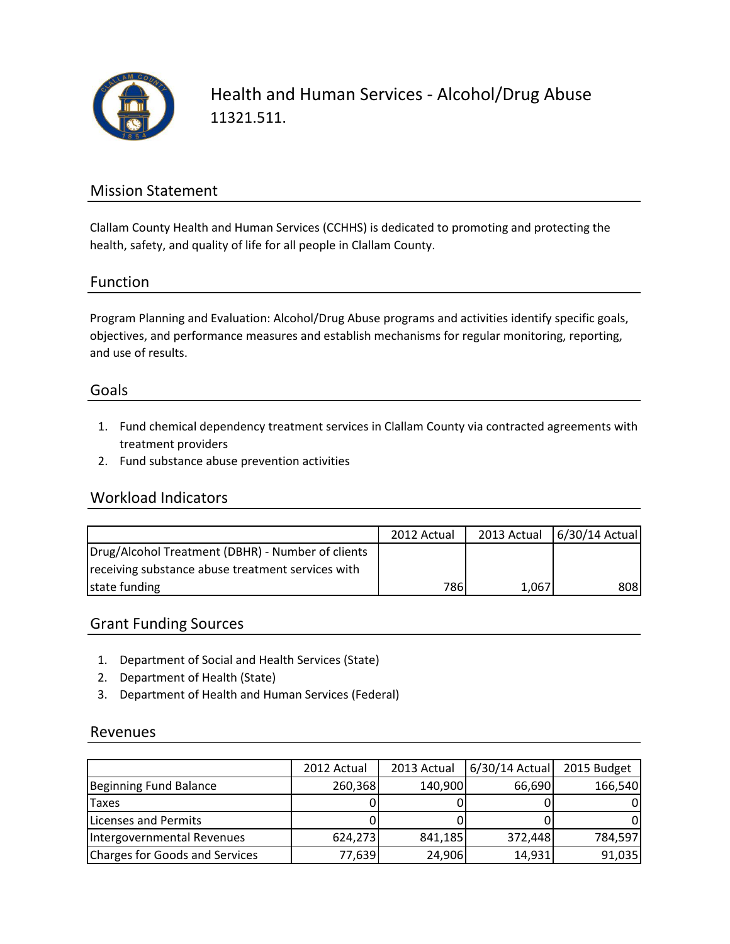

Health and Human Services - Alcohol/Drug Abuse 11321.511.

## Mission Statement

Clallam County Health and Human Services (CCHHS) is dedicated to promoting and protecting the health, safety, and quality of life for all people in Clallam County.

#### Function

Program Planning and Evaluation: Alcohol/Drug Abuse programs and activities identify specific goals, objectives, and performance measures and establish mechanisms for regular monitoring, reporting, and use of results.

#### Goals

- 1. Fund chemical dependency treatment services in Clallam County via contracted agreements with treatment providers
- 2. Fund substance abuse prevention activities

### Workload Indicators

|                                                   | 2012 Actual |       | 2013 Actual 6/30/14 Actual |
|---------------------------------------------------|-------------|-------|----------------------------|
| Drug/Alcohol Treatment (DBHR) - Number of clients |             |       |                            |
| receiving substance abuse treatment services with |             |       |                            |
| state funding                                     | 786         | 1,067 | 8081                       |

### Grant Funding Sources

- 1. Department of Social and Health Services (State)
- 2. Department of Health (State)
- 3. Department of Health and Human Services (Federal)

#### Revenues

|                                | 2012 Actual | 2013 Actual | 6/30/14 Actual | 2015 Budget |
|--------------------------------|-------------|-------------|----------------|-------------|
| Beginning Fund Balance         | 260,368     | 140,900     | 66,690         | 166,540     |
| <b>Taxes</b>                   |             |             |                |             |
| Licenses and Permits           |             |             |                |             |
| Intergovernmental Revenues     | 624,273     | 841,185     | 372,448        | 784,597     |
| Charges for Goods and Services | 77,639      | 24,906      | 14,931         | 91,035      |